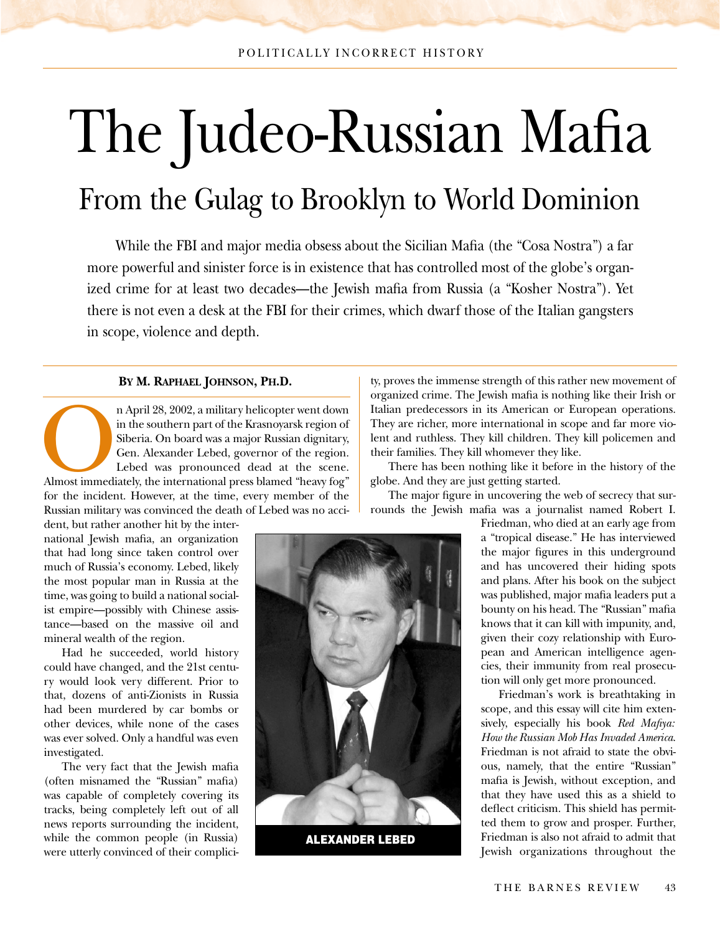# The Judeo-Russian Mafia From the Gulag to Brooklyn to World Dominion

While the FBI and major media obsess about the Sicilian Mafia (the "Cosa Nostra") a far more powerful and sinister force is in existence that has controlled most of the globe's organized crime for at least two decades—the Jewish mafia from Russia (a "Kosher Nostra"). Yet there is not even a desk at the FBI for their crimes, which dwarf those of the Italian gangsters in scope, violence and depth.

#### **BY M. RAPHAEL JOHNSON, PH.D.**

n April 28, 2002, a military helicopter went down<br>
in the southern part of the Krasnoyarsk region of<br>
Siberia. On board was a major Russian dignitary,<br>
Gen. Alexander Lebed, governor of the region.<br>
Lebed was pronounced de in the southern part of the Krasnoyarsk region of Siberia. On board was a major Russian dignitary, Gen. Alexander Lebed, governor of the region. Lebed was pronounced dead at the scene. for the incident. However, at the time, every member of the Russian military was convinced the death of Lebed was no acci-

dent, but rather another hit by the international Jewish mafia, an organization that had long since taken control over much of Russia's economy. Lebed, likely the most popular man in Russia at the time, was going to build a national socialist empire—possibly with Chinese assistance—based on the massive oil and mineral wealth of the region.

Had he succeeded, world history could have changed, and the 21st century would look very different. Prior to that, dozens of anti-Zionists in Russia had been murdered by car bombs or other devices, while none of the cases was ever solved. Only a handful was even investigated.

The very fact that the Jewish mafia (often misnamed the "Russian" mafia) was capable of completely covering its tracks, being completely left out of all news reports surrounding the incident, while the common people (in Russia) were utterly convinced of their complici-

ty, proves the immense strength of this rather new movement of organized crime. The Jewish mafia is nothing like their Irish or Italian predecessors in its American or European operations. They are richer, more international in scope and far more violent and ruthless. They kill children. They kill policemen and their families. They kill whomever they like.

There has been nothing like it before in the history of the globe. And they are just getting started.

The major figure in uncovering the web of secrecy that surrounds the Jewish mafia was a journalist named Robert I.

> Friedman, who died at an early age from a "tropical disease." He has interviewed the major figures in this underground and has uncovered their hiding spots and plans. After his book on the subject was published, major mafia leaders put a bounty on his head. The "Russian" mafia knows that it can kill with impunity, and, given their cozy relationship with European and American intelligence agencies, their immunity from real prosecution will only get more pronounced.

> Friedman's work is breathtaking in scope, and this essay will cite him extensively, especially his book *Red Mafiya: How the Russian Mob Has Invaded America*. Friedman is not afraid to state the obvious, namely, that the entire "Russian" mafia is Jewish, without exception, and that they have used this as a shield to deflect criticism. This shield has permitted them to grow and prosper. Further, Friedman is also not afraid to admit that Jewish organizations throughout the

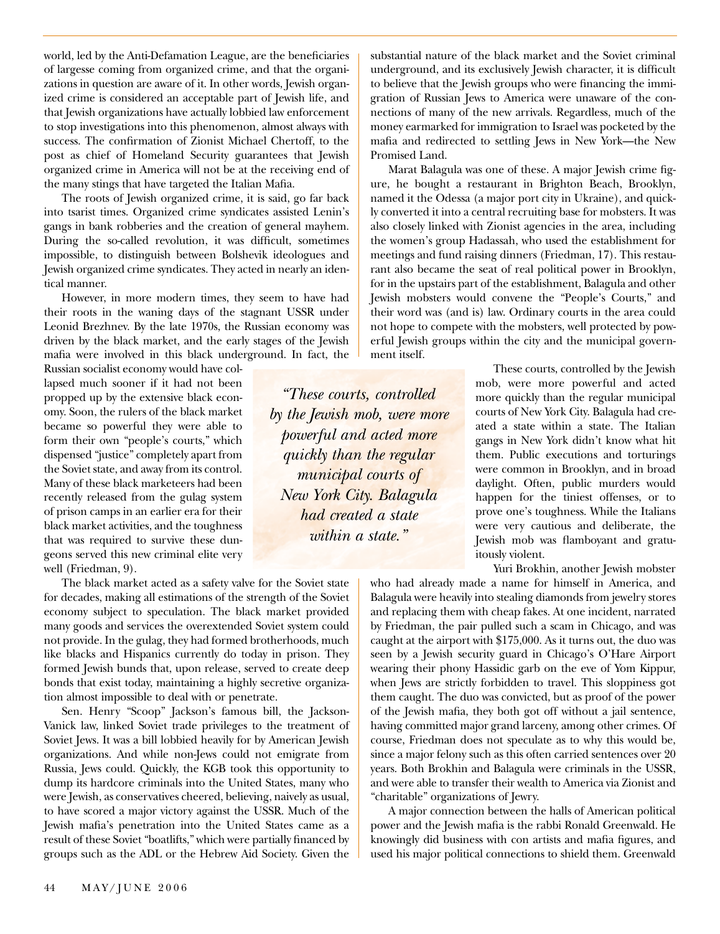world, led by the Anti-Defamation League, are the beneficiaries of largesse coming from organized crime, and that the organizations in question are aware of it. In other words, Jewish organized crime is considered an acceptable part of Jewish life, and that Jewish organizations have actually lobbied law enforcement to stop investigations into this phenomenon, almost always with success. The confirmation of Zionist Michael Chertoff, to the post as chief of Homeland Security guarantees that Jewish organized crime in America will not be at the receiving end of the many stings that have targeted the Italian Mafia.

The roots of Jewish organized crime, it is said, go far back into tsarist times. Organized crime syndicates assisted Lenin's gangs in bank robberies and the creation of general mayhem. During the so-called revolution, it was difficult, sometimes impossible, to distinguish between Bolshevik ideologues and Jewish organized crime syndicates. They acted in nearly an identical manner.

However, in more modern times, they seem to have had their roots in the waning days of the stagnant USSR under Leonid Brezhnev. By the late 1970s, the Russian economy was driven by the black market, and the early stages of the Jewish mafia were involved in this black underground. In fact, the

Russian socialist economy would have collapsed much sooner if it had not been propped up by the extensive black economy. Soon, the rulers of the black market became so powerful they were able to form their own "people's courts," which dispensed "justice" completely apart from the Soviet state, and away from its control. Many of these black marketeers had been recently released from the gulag system of prison camps in an earlier era for their black market activities, and the toughness that was required to survive these dungeons served this new criminal elite very well (Friedman, 9).

The black market acted as a safety valve for the Soviet state for decades, making all estimations of the strength of the Soviet economy subject to speculation. The black market provided many goods and services the overextended Soviet system could not provide. In the gulag, they had formed brotherhoods, much like blacks and Hispanics currently do today in prison. They formed Jewish bunds that, upon release, served to create deep bonds that exist today, maintaining a highly secretive organization almost impossible to deal with or penetrate.

Sen. Henry "Scoop" Jackson's famous bill, the Jackson-Vanick law, linked Soviet trade privileges to the treatment of Soviet Jews. It was a bill lobbied heavily for by American Jewish organizations. And while non-Jews could not emigrate from Russia, Jews could. Quickly, the KGB took this opportunity to dump its hardcore criminals into the United States, many who were Jewish, as conservatives cheered, believing, naively as usual, to have scored a major victory against the USSR. Much of the Jewish mafia's penetration into the United States came as a result of these Soviet "boatlifts," which were partially financed by groups such as the ADL or the Hebrew Aid Society. Given the

substantial nature of the black market and the Soviet criminal underground, and its exclusively Jewish character, it is difficult to believe that the Jewish groups who were financing the immigration of Russian Jews to America were unaware of the connections of many of the new arrivals. Regardless, much of the money earmarked for immigration to Israel was pocketed by the mafia and redirected to settling Jews in New York—the New Promised Land.

Marat Balagula was one of these. A major Jewish crime figure, he bought a restaurant in Brighton Beach, Brooklyn, named it the Odessa (a major port city in Ukraine), and quickly converted it into a central recruiting base for mobsters. It was also closely linked with Zionist agencies in the area, including the women's group Hadassah, who used the establishment for meetings and fund raising dinners (Friedman, 17). This restaurant also became the seat of real political power in Brooklyn, for in the upstairs part of the establishment, Balagula and other Jewish mobsters would convene the "People's Courts," and their word was (and is) law. Ordinary courts in the area could not hope to compete with the mobsters, well protected by powerful Jewish groups within the city and the municipal government itself.

> These courts, controlled by the Jewish mob, were more powerful and acted more quickly than the regular municipal courts of New York City. Balagula had created a state within a state. The Italian gangs in New York didn't know what hit them. Public executions and torturings were common in Brooklyn, and in broad daylight. Often, public murders would happen for the tiniest offenses, or to prove one's toughness. While the Italians were very cautious and deliberate, the Jewish mob was flamboyant and gratuitously violent.

> > Yuri Brokhin, another Jewish mobster

who had already made a name for himself in America, and Balagula were heavily into stealing diamonds from jewelry stores and replacing them with cheap fakes. At one incident, narrated by Friedman, the pair pulled such a scam in Chicago, and was caught at the airport with \$175,000. As it turns out, the duo was seen by a Jewish security guard in Chicago's O'Hare Airport wearing their phony Hassidic garb on the eve of Yom Kippur, when Jews are strictly forbidden to travel. This sloppiness got them caught. The duo was convicted, but as proof of the power of the Jewish mafia, they both got off without a jail sentence, having committed major grand larceny, among other crimes. Of course, Friedman does not speculate as to why this would be, since a major felony such as this often carried sentences over 20 years. Both Brokhin and Balagula were criminals in the USSR, and were able to transfer their wealth to America via Zionist and "charitable" organizations of Jewry.

A major connection between the halls of American political power and the Jewish mafia is the rabbi Ronald Greenwald. He knowingly did business with con artists and mafia figures, and used his major political connections to shield them. Greenwald

*"These courts, controlled by the Jewish mob, were more powerful and acted more quickly than the regular municipal courts of New York City. Balagula had created a state within a state."*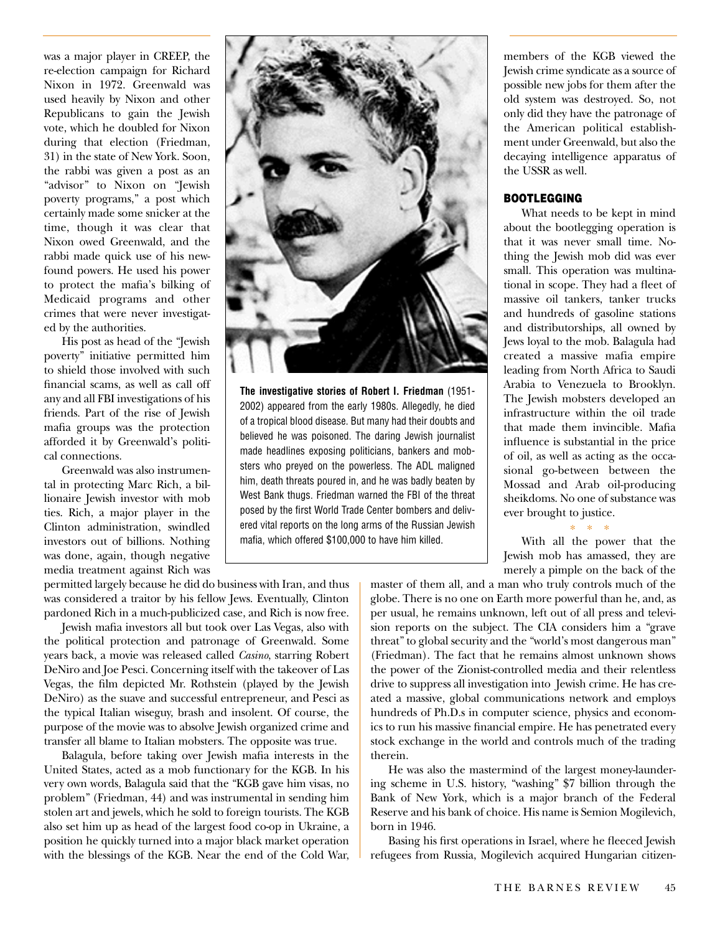was a major player in CREEP, the re-election campaign for Richard Nixon in 1972. Greenwald was used heavily by Nixon and other Republicans to gain the Jewish vote, which he doubled for Nixon during that election (Friedman, 31) in the state of New York. Soon, the rabbi was given a post as an "advisor" to Nixon on "Jewish poverty programs," a post which certainly made some snicker at the time, though it was clear that Nixon owed Greenwald, and the rabbi made quick use of his newfound powers. He used his power to protect the mafia's bilking of Medicaid programs and other crimes that were never investigated by the authorities.

His post as head of the "Jewish poverty" initiative permitted him to shield those involved with such financial scams, as well as call off any and all FBI investigations of his friends. Part of the rise of Jewish mafia groups was the protection afforded it by Greenwald's political connections.

Greenwald was also instrumental in protecting Marc Rich, a billionaire Jewish investor with mob ties. Rich, a major player in the Clinton administration, swindled investors out of billions. Nothing was done, again, though negative media treatment against Rich was

**The investigative stories of Robert I. Friedman** (1951- 2002) appeared from the early 1980s. Allegedly, he died of a tropical blood disease. But many had their doubts and believed he was poisoned. The daring Jewish journalist made headlines exposing politicians, bankers and mobsters who preyed on the powerless. The ADL maligned him, death threats poured in, and he was badly beaten by West Bank thugs. Friedman warned the FBI of the threat posed by the first World Trade Center bombers and delivered vital reports on the long arms of the Russian Jewish mafia, which offered \$100,000 to have him killed.

members of the KGB viewed the Jewish crime syndicate as a source of possible new jobs for them after the old system was destroyed. So, not only did they have the patronage of the American political establishment under Greenwald, but also the decaying intelligence apparatus of the USSR as well.

#### **BOOTLEGGING**

What needs to be kept in mind about the bootlegging operation is that it was never small time. Nothing the Jewish mob did was ever small. This operation was multinational in scope. They had a fleet of massive oil tankers, tanker trucks and hundreds of gasoline stations and distributorships, all owned by Jews loyal to the mob. Balagula had created a massive mafia empire leading from North Africa to Saudi Arabia to Venezuela to Brooklyn. The Jewish mobsters developed an infrastructure within the oil trade that made them invincible. Mafia influence is substantial in the price of oil, as well as acting as the occasional go-between between the Mossad and Arab oil-producing sheikdoms. No one of substance was ever brought to justice.

With all the power that the Jewish mob has amassed, they are merely a pimple on the back of the

\*\*\*

permitted largely because he did do business with Iran, and thus was considered a traitor by his fellow Jews. Eventually, Clinton pardoned Rich in a much-publicized case, and Rich is now free.

Jewish mafia investors all but took over Las Vegas, also with the political protection and patronage of Greenwald. Some years back, a movie was released called *Casino*, starring Robert DeNiro and Joe Pesci. Concerning itself with the takeover of Las Vegas, the film depicted Mr. Rothstein (played by the Jewish DeNiro) as the suave and successful entrepreneur, and Pesci as the typical Italian wiseguy, brash and insolent. Of course, the purpose of the movie was to absolve Jewish organized crime and transfer all blame to Italian mobsters. The opposite was true.

Balagula, before taking over Jewish mafia interests in the United States, acted as a mob functionary for the KGB. In his very own words, Balagula said that the "KGB gave him visas, no problem" (Friedman, 44) and was instrumental in sending him stolen art and jewels, which he sold to foreign tourists. The KGB also set him up as head of the largest food co-op in Ukraine, a position he quickly turned into a major black market operation with the blessings of the KGB. Near the end of the Cold War,

master of them all, and a man who truly controls much of the globe. There is no one on Earth more powerful than he, and, as per usual, he remains unknown, left out of all press and television reports on the subject. The CIA considers him a "grave threat" to global security and the "world's most dangerous man" (Friedman). The fact that he remains almost unknown shows the power of the Zionist-controlled media and their relentless drive to suppress all investigation into Jewish crime. He has created a massive, global communications network and employs hundreds of Ph.D.s in computer science, physics and economics to run his massive financial empire. He has penetrated every stock exchange in the world and controls much of the trading therein.

He was also the mastermind of the largest money-laundering scheme in U.S. history, "washing" \$7 billion through the Bank of New York, which is a major branch of the Federal Reserve and his bank of choice. His name is Semion Mogilevich, born in 1946.

Basing his first operations in Israel, where he fleeced Jewish refugees from Russia, Mogilevich acquired Hungarian citizen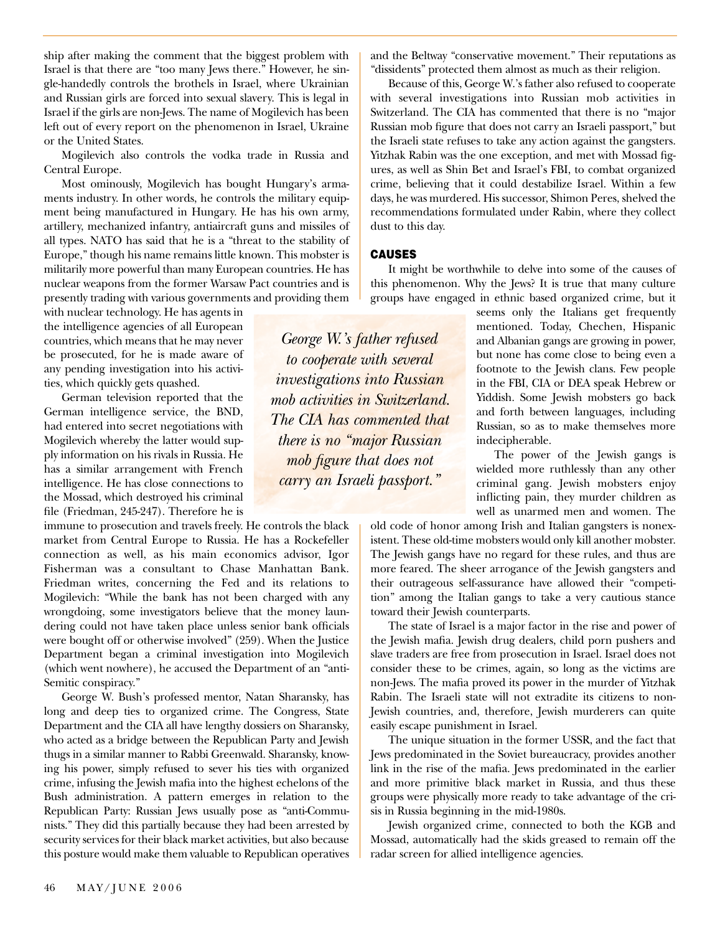ship after making the comment that the biggest problem with Israel is that there are "too many Jews there." However, he single-handedly controls the brothels in Israel, where Ukrainian and Russian girls are forced into sexual slavery. This is legal in Israel if the girls are non-Jews. The name of Mogilevich has been left out of every report on the phenomenon in Israel, Ukraine or the United States.

Mogilevich also controls the vodka trade in Russia and Central Europe.

Most ominously, Mogilevich has bought Hungary's armaments industry. In other words, he controls the military equipment being manufactured in Hungary. He has his own army, artillery, mechanized infantry, antiaircraft guns and missiles of all types. NATO has said that he is a "threat to the stability of Europe," though his name remains little known. This mobster is militarily more powerful than many European countries. He has nuclear weapons from the former Warsaw Pact countries and is presently trading with various governments and providing them

with nuclear technology. He has agents in the intelligence agencies of all European countries, which means that he may never be prosecuted, for he is made aware of any pending investigation into his activities, which quickly gets quashed.

German television reported that the German intelligence service, the BND, had entered into secret negotiations with Mogilevich whereby the latter would supply information on his rivals in Russia. He has a similar arrangement with French intelligence. He has close connections to the Mossad, which destroyed his criminal file (Friedman, 245-247). Therefore he is

immune to prosecution and travels freely. He controls the black market from Central Europe to Russia. He has a Rockefeller connection as well, as his main economics advisor, Igor Fisherman was a consultant to Chase Manhattan Bank. Friedman writes, concerning the Fed and its relations to Mogilevich: "While the bank has not been charged with any wrongdoing, some investigators believe that the money laundering could not have taken place unless senior bank officials were bought off or otherwise involved" (259). When the Justice Department began a criminal investigation into Mogilevich (which went nowhere), he accused the Department of an "anti-Semitic conspiracy."

George W. Bush's professed mentor, Natan Sharansky, has long and deep ties to organized crime. The Congress, State Department and the CIA all have lengthy dossiers on Sharansky, who acted as a bridge between the Republican Party and Jewish thugs in a similar manner to Rabbi Greenwald. Sharansky, knowing his power, simply refused to sever his ties with organized crime, infusing the Jewish mafia into the highest echelons of the Bush administration. A pattern emerges in relation to the Republican Party: Russian Jews usually pose as "anti-Communists." They did this partially because they had been arrested by security services for their black market activities, but also because this posture would make them valuable to Republican operatives

and the Beltway "conservative movement." Their reputations as "dissidents" protected them almost as much as their religion.

Because of this, George W.'s father also refused to cooperate with several investigations into Russian mob activities in Switzerland. The CIA has commented that there is no "major Russian mob figure that does not carry an Israeli passport," but the Israeli state refuses to take any action against the gangsters. Yitzhak Rabin was the one exception, and met with Mossad figures, as well as Shin Bet and Israel's FBI, to combat organized crime, believing that it could destabilize Israel. Within a few days, he was murdered. His successor, Shimon Peres, shelved the recommendations formulated under Rabin, where they collect dust to this day.

#### **CAUSES**

It might be worthwhile to delve into some of the causes of this phenomenon. Why the Jews? It is true that many culture groups have engaged in ethnic based organized crime, but it

seems only the Italians get frequently mentioned. Today, Chechen, Hispanic and Albanian gangs are growing in power, but none has come close to being even a footnote to the Jewish clans. Few people in the FBI, CIA or DEA speak Hebrew or Yiddish. Some Jewish mobsters go back and forth between languages, including Russian, so as to make themselves more indecipherable.

The power of the Jewish gangs is wielded more ruthlessly than any other criminal gang. Jewish mobsters enjoy inflicting pain, they murder children as well as unarmed men and women. The

old code of honor among Irish and Italian gangsters is nonexistent. These old-time mobsters would only kill another mobster. The Jewish gangs have no regard for these rules, and thus are more feared. The sheer arrogance of the Jewish gangsters and their outrageous self-assurance have allowed their "competition" among the Italian gangs to take a very cautious stance toward their Jewish counterparts.

The state of Israel is a major factor in the rise and power of the Jewish mafia. Jewish drug dealers, child porn pushers and slave traders are free from prosecution in Israel. Israel does not consider these to be crimes, again, so long as the victims are non-Jews. The mafia proved its power in the murder of Yitzhak Rabin. The Israeli state will not extradite its citizens to non-Jewish countries, and, therefore, Jewish murderers can quite easily escape punishment in Israel.

The unique situation in the former USSR, and the fact that Jews predominated in the Soviet bureaucracy, provides another link in the rise of the mafia. Jews predominated in the earlier and more primitive black market in Russia, and thus these groups were physically more ready to take advantage of the crisis in Russia beginning in the mid-1980s.

Jewish organized crime, connected to both the KGB and Mossad, automatically had the skids greased to remain off the radar screen for allied intelligence agencies.

*George W.'s father refused to cooperate with several investigations into Russian mob activities in Switzerland. The CIA has commented that there is no "major Russian mob figure that does not carry an Israeli passport."*